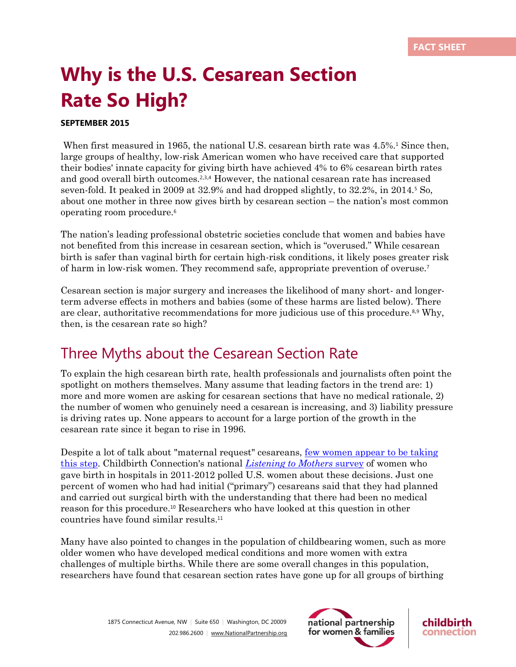# **Why is the U.S. Cesarean Section Rate So High?**

### **SEPTEMBER 2015**

When first measured in 1965, the national U.S. cesarean birth rate was 4.5%.<sup>1</sup> Since then, large groups of healthy, low-risk American women who have received care that supported their bodies' innate capacity for giving birth have achieved 4% to 6% cesarean birth rates and good overall birth outcomes.<sup>2,3,4</sup> However, the national cesarean rate has increased seven-fold. It peaked in 2009 at 32.9% and had dropped slightly, to 32.2%, in 2014.<sup>5</sup> So, about one mother in three now gives birth by cesarean section – the nation's most common operating room procedure.<sup>6</sup>

The nation's leading professional obstetric societies conclude that women and babies have not benefited from this increase in cesarean section, which is "overused." While cesarean birth is safer than vaginal birth for certain high-risk conditions, it likely poses greater risk of harm in low-risk women. They recommend safe, appropriate prevention of overuse.<sup>7</sup>

Cesarean section is major surgery and increases the likelihood of many short- and longerterm adverse effects in mothers and babies (some of these harms are listed below). There are clear, authoritative recommendations for more judicious use of this procedure.8,<sup>9</sup> Why, then, is the cesarean rate so high?

## Three Myths about the Cesarean Section Rate

To explain the high cesarean birth rate, health professionals and journalists often point the spotlight on mothers themselves. Many assume that leading factors in the trend are: 1) more and more women are asking for cesarean sections that have no medical rationale, 2) the number of women who genuinely need a cesarean is increasing, and 3) liability pressure is driving rates up. None appears to account for a large portion of the growth in the cesarean rate since it began to rise in 1996.

Despite a lot of talk about "maternal request" cesareans, few [women](http://www.childbirthconnection.org/article.asp?ck=10372) appear to be taking this [step.](http://www.childbirthconnection.org/article.asp?ck=10372) Childbirth Connection's national *[Listening](http://www.childbirthconnection.org/article.asp?ck=10068) to Mothers* survey of women who gave birth in hospitals in 2011-2012 polled U.S. women about these decisions. Just one percent of women who had had initial ("primary") cesareans said that they had planned and carried out surgical birth with the understanding that there had been no medical reason for this procedure. <sup>10</sup> Researchers who have looked at this question in other countries have found similar results.<sup>11</sup>

Many have also pointed to changes in the population of childbearing women, such as more older women who have developed medical conditions and more women with extra challenges of multiple births. While there are some overall changes in this population, researchers have found that cesarean section rates have gone up for all groups of birthing



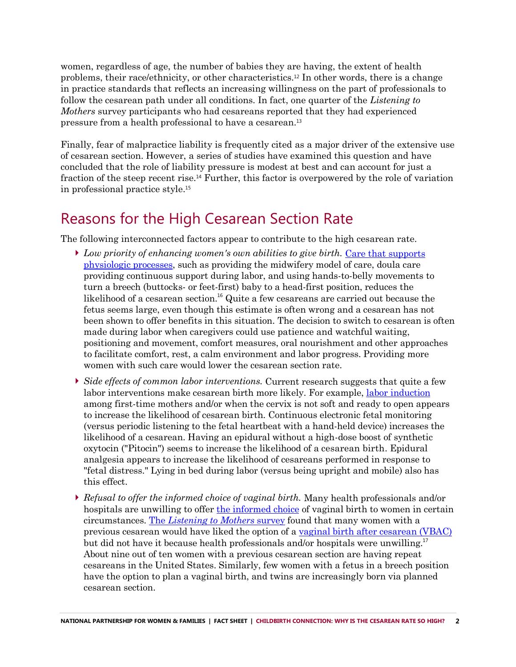women, regardless of age, the number of babies they are having, the extent of health problems, their race/ethnicity, or other characteristics.<sup>12</sup> In other words, there is a change in practice standards that reflects an increasing willingness on the part of professionals to follow the cesarean path under all conditions. In fact, one quarter of the *Listening to Mothers* survey participants who had cesareans reported that they had experienced pressure from a health professional to have a cesarean.<sup>13</sup>

Finally, fear of malpractice liability is frequently cited as a major driver of the extensive use of cesarean section. However, a series of studies have examined this question and have concluded that the role of liability pressure is modest at best and can account for just a fraction of the steep recent rise.<sup>14</sup> Further, this factor is overpowered by the role of variation in professional practice style.<sup>15</sup>

# Reasons for the High Cesarean Section Rate

The following interconnected factors appear to contribute to the high cesarean rate.

- *Low priority of enhancing women's own abilities to give birth.* Care that [supports](http://www.childbirthconnection.org/article.asp?ck=10175)  [physiologic](http://www.childbirthconnection.org/article.asp?ck=10175) processes, such as providing the midwifery model of care, doula care providing continuous support during labor, and using hands-to-belly movements to turn a breech (buttocks- or feet-first) baby to a head-first position, reduces the likelihood of a cesarean section. <sup>16</sup> Quite a few cesareans are carried out because the fetus seems large, even though this estimate is often wrong and a cesarean has not been shown to offer benefits in this situation. The decision to switch to cesarean is often made during labor when caregivers could use patience and watchful waiting, positioning and movement, comfort measures, oral nourishment and other approaches to facilitate comfort, rest, a calm environment and labor progress. Providing more women with such care would lower the cesarean section rate.
- *Side effects of common labor interventions.* Current research suggests that quite a few labor interventions make cesarean birth more likely. For example, labor [induction](http://www.childbirthconnection.org/article.asp?ck=10650) among first-time mothers and/or when the cervix is not soft and ready to open appears to increase the likelihood of cesarean birth. Continuous electronic fetal monitoring (versus periodic listening to the fetal heartbeat with a hand-held device) increases the likelihood of a cesarean. Having an epidural without a high-dose boost of synthetic oxytocin ("Pitocin") seems to increase the likelihood of a cesarean birth. Epidural analgesia appears to increase the likelihood of cesareans performed in response to "fetal distress." Lying in bed during labor (versus being upright and mobile) also has this effect.
- *Refusal to offer the informed choice of vaginal birth.* Many health professionals and/or hospitals are unwilling to offer [the informed choice](http://www.childbirthconnection.org/article.asp?ck=10081) of vaginal birth to women in certain circumstances. The *[Listening to Mothers](http://www.childbirthconnection.org/article.asp?ck=10396)* survey found that many women with a previous cesarean would have liked the option of a [vaginal birth after](http://www.childbirthconnection.org/article.asp?ck=10212) cesarean (VBAC) but did not have it because health professionals and/or hospitals were unwilling.<sup>17</sup> About nine out of ten women with a previous cesarean section are having repeat cesareans in the United States. Similarly, few women with a fetus in a breech position have the option to plan a vaginal birth, and twins are increasingly born via planned cesarean section.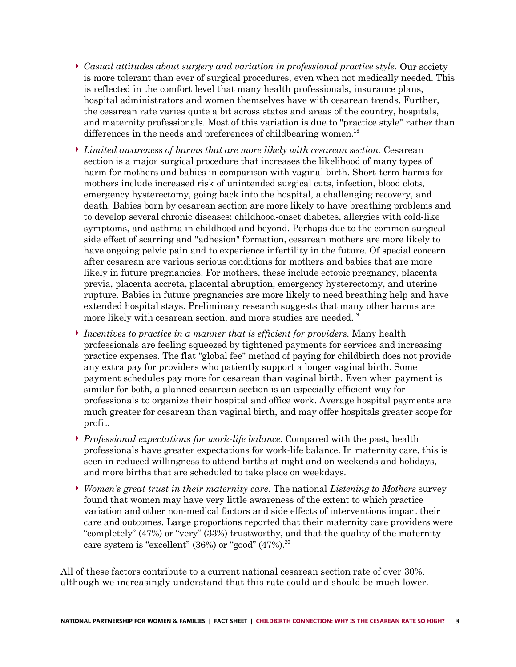- *Casual attitudes about surgery and variation in professional practice style.* Our society is more tolerant than ever of surgical procedures, even when not medically needed. This is reflected in the comfort level that many health professionals, insurance plans, hospital administrators and women themselves have with cesarean trends. Further, the cesarean rate varies quite a bit across states and areas of the country, hospitals, and maternity professionals. Most of this variation is due to "practice style" rather than differences in the needs and preferences of childbearing women.<sup>18</sup>
- *Limited awareness of harms that are more likely with cesarean section.* Cesarean section is a major surgical procedure that increases the likelihood of many types of harm for mothers and babies in comparison with vaginal birth. Short-term harms for mothers include increased risk of unintended surgical cuts, infection, blood clots, emergency hysterectomy, going back into the hospital, a challenging recovery, and death. Babies born by cesarean section are more likely to have breathing problems and to develop several chronic diseases: childhood-onset diabetes, allergies with cold-like symptoms, and asthma in childhood and beyond. Perhaps due to the common surgical side effect of scarring and "adhesion" formation, cesarean mothers are more likely to have ongoing pelvic pain and to experience infertility in the future. Of special concern after cesarean are various serious conditions for mothers and babies that are more likely in future pregnancies. For mothers, these include ectopic pregnancy, placenta previa, placenta accreta, placental abruption, emergency hysterectomy, and uterine rupture. Babies in future pregnancies are more likely to need breathing help and have extended hospital stays. Preliminary research suggests that many other harms are more likely with cesarean section, and more studies are needed.<sup>19</sup>
- *Incentives to practice in a manner that is efficient for providers.* Many health professionals are feeling squeezed by tightened payments for services and increasing practice expenses. The flat "global fee" method of paying for childbirth does not provide any extra pay for providers who patiently support a longer vaginal birth. Some payment schedules pay more for cesarean than vaginal birth. Even when payment is similar for both, a planned cesarean section is an especially efficient way for professionals to organize their hospital and office work. Average hospital payments are much greater for cesarean than vaginal birth, and may offer hospitals greater scope for profit.
- *Professional expectations for work-life balance*. Compared with the past, health professionals have greater expectations for work-life balance. In maternity care, this is seen in reduced willingness to attend births at night and on weekends and holidays, and more births that are scheduled to take place on weekdays.
- *Women's great trust in their maternity care*. The national *Listening to Mothers* survey found that women may have very little awareness of the extent to which practice variation and other non-medical factors and side effects of interventions impact their care and outcomes. Large proportions reported that their maternity care providers were "completely" (47%) or "very" (33%) trustworthy, and that the quality of the maternity care system is "excellent"  $(36%)$  or "good"  $(47%)$ .<sup>20</sup>

All of these factors contribute to a current national cesarean section rate of over 30%, although we increasingly understand that this rate could and should be much lower.